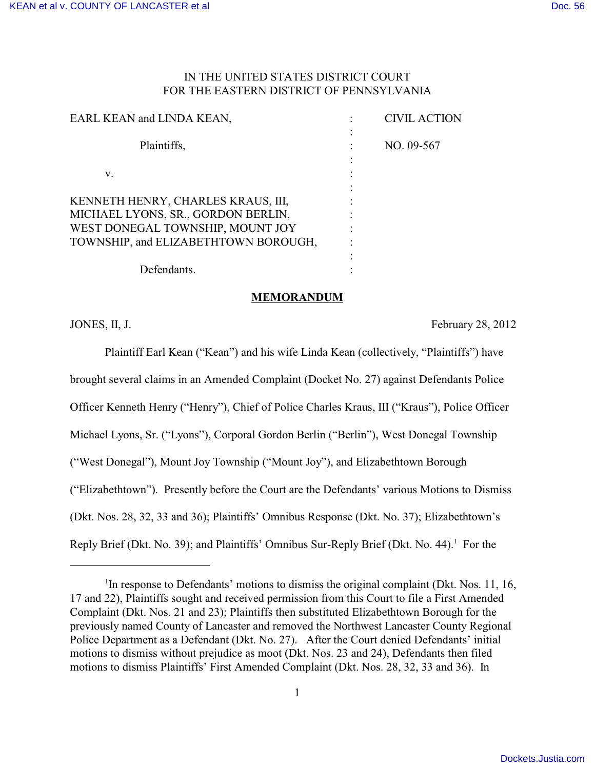# IN THE UNITED STATES DISTRICT COURT FOR THE EASTERN DISTRICT OF PENNSYLVANIA

| EARL KEAN and LINDA KEAN,                                                | <b>CIVIL ACTION</b> |
|--------------------------------------------------------------------------|---------------------|
| Plaintiffs,                                                              | NO. 09-567          |
| v.                                                                       |                     |
| KENNETH HENRY, CHARLES KRAUS, III,<br>MICHAEL LYONS, SR., GORDON BERLIN, |                     |
| WEST DONEGAL TOWNSHIP, MOUNT JOY<br>TOWNSHIP, and ELIZABETHTOWN BOROUGH, |                     |
| Defendants.                                                              |                     |

### **MEMORANDUM**

JONES, II, J. February 28, 2012

Plaintiff Earl Kean ("Kean") and his wife Linda Kean (collectively, "Plaintiffs") have brought several claims in an Amended Complaint (Docket No. 27) against Defendants Police Officer Kenneth Henry ("Henry"), Chief of Police Charles Kraus, III ("Kraus"), Police Officer Michael Lyons, Sr. ("Lyons"), Corporal Gordon Berlin ("Berlin"), West Donegal Township ("West Donegal"), Mount Joy Township ("Mount Joy"), and Elizabethtown Borough ("Elizabethtown"). Presently before the Court are the Defendants' various Motions to Dismiss (Dkt. Nos. 28, 32, 33 and 36); Plaintiffs' Omnibus Response (Dkt. No. 37); Elizabethtown's Reply Brief (Dkt. No. 39); and Plaintiffs' Omnibus Sur-Reply Brief (Dkt. No. 44).<sup>1</sup> For the

<sup>&</sup>lt;sup>1</sup>In response to Defendants' motions to dismiss the original complaint (Dkt. Nos. 11, 16, 17 and 22), Plaintiffs sought and received permission from this Court to file a First Amended Complaint (Dkt. Nos. 21 and 23); Plaintiffs then substituted Elizabethtown Borough for the previously named County of Lancaster and removed the Northwest Lancaster County Regional Police Department as a Defendant (Dkt. No. 27). After the Court denied Defendants' initial motions to dismiss without prejudice as moot (Dkt. Nos. 23 and 24), Defendants then filed motions to dismiss Plaintiffs' First Amended Complaint (Dkt. Nos. 28, 32, 33 and 36). In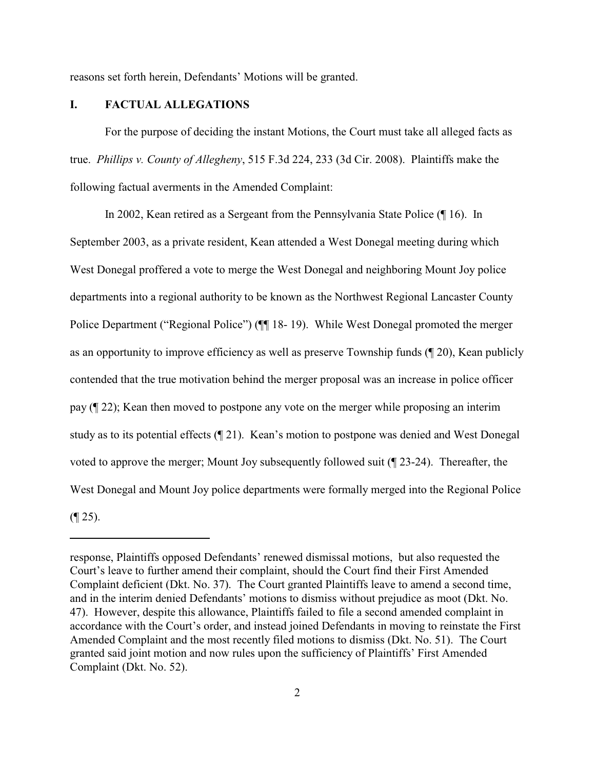reasons set forth herein, Defendants' Motions will be granted.

#### **I. FACTUAL ALLEGATIONS**

For the purpose of deciding the instant Motions, the Court must take all alleged facts as true. *Phillips v. County of Allegheny*, 515 F.3d 224, 233 (3d Cir. 2008). Plaintiffs make the following factual averments in the Amended Complaint:

In 2002, Kean retired as a Sergeant from the Pennsylvania State Police (¶ 16). In September 2003, as a private resident, Kean attended a West Donegal meeting during which West Donegal proffered a vote to merge the West Donegal and neighboring Mount Joy police departments into a regional authority to be known as the Northwest Regional Lancaster County Police Department ("Regional Police") ( $\P$  18-19). While West Donegal promoted the merger as an opportunity to improve efficiency as well as preserve Township funds (¶ 20), Kean publicly contended that the true motivation behind the merger proposal was an increase in police officer pay (¶ 22); Kean then moved to postpone any vote on the merger while proposing an interim study as to its potential effects (¶ 21). Kean's motion to postpone was denied and West Donegal voted to approve the merger; Mount Joy subsequently followed suit (¶ 23-24). Thereafter, the West Donegal and Mount Joy police departments were formally merged into the Regional Police  $($ | 25).

response, Plaintiffs opposed Defendants' renewed dismissal motions, but also requested the Court's leave to further amend their complaint, should the Court find their First Amended Complaint deficient (Dkt. No. 37). The Court granted Plaintiffs leave to amend a second time, and in the interim denied Defendants' motions to dismiss without prejudice as moot (Dkt. No. 47). However, despite this allowance, Plaintiffs failed to file a second amended complaint in accordance with the Court's order, and instead joined Defendants in moving to reinstate the First Amended Complaint and the most recently filed motions to dismiss (Dkt. No. 51). The Court granted said joint motion and now rules upon the sufficiency of Plaintiffs' First Amended Complaint (Dkt. No. 52).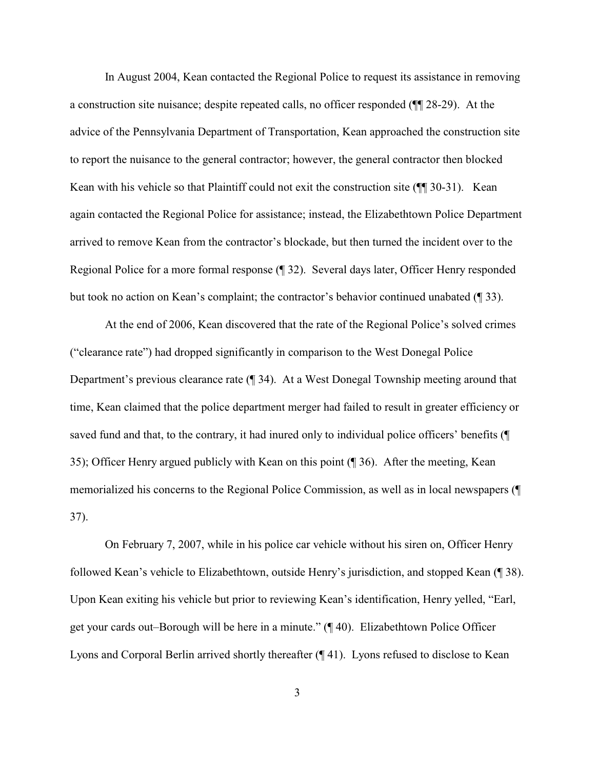In August 2004, Kean contacted the Regional Police to request its assistance in removing a construction site nuisance; despite repeated calls, no officer responded (¶¶ 28-29). At the advice of the Pennsylvania Department of Transportation, Kean approached the construction site to report the nuisance to the general contractor; however, the general contractor then blocked Kean with his vehicle so that Plaintiff could not exit the construction site ( $\P$  30-31). Kean again contacted the Regional Police for assistance; instead, the Elizabethtown Police Department arrived to remove Kean from the contractor's blockade, but then turned the incident over to the Regional Police for a more formal response (¶ 32). Several days later, Officer Henry responded but took no action on Kean's complaint; the contractor's behavior continued unabated (¶ 33).

At the end of 2006, Kean discovered that the rate of the Regional Police's solved crimes ("clearance rate") had dropped significantly in comparison to the West Donegal Police Department's previous clearance rate (¶ 34). At a West Donegal Township meeting around that time, Kean claimed that the police department merger had failed to result in greater efficiency or saved fund and that, to the contrary, it had inured only to individual police officers' benefits (¶ 35); Officer Henry argued publicly with Kean on this point (¶ 36). After the meeting, Kean memorialized his concerns to the Regional Police Commission, as well as in local newspapers (¶ 37).

On February 7, 2007, while in his police car vehicle without his siren on, Officer Henry followed Kean's vehicle to Elizabethtown, outside Henry's jurisdiction, and stopped Kean (¶ 38). Upon Kean exiting his vehicle but prior to reviewing Kean's identification, Henry yelled, "Earl, get your cards out–Borough will be here in a minute." (¶ 40). Elizabethtown Police Officer Lyons and Corporal Berlin arrived shortly thereafter (¶ 41). Lyons refused to disclose to Kean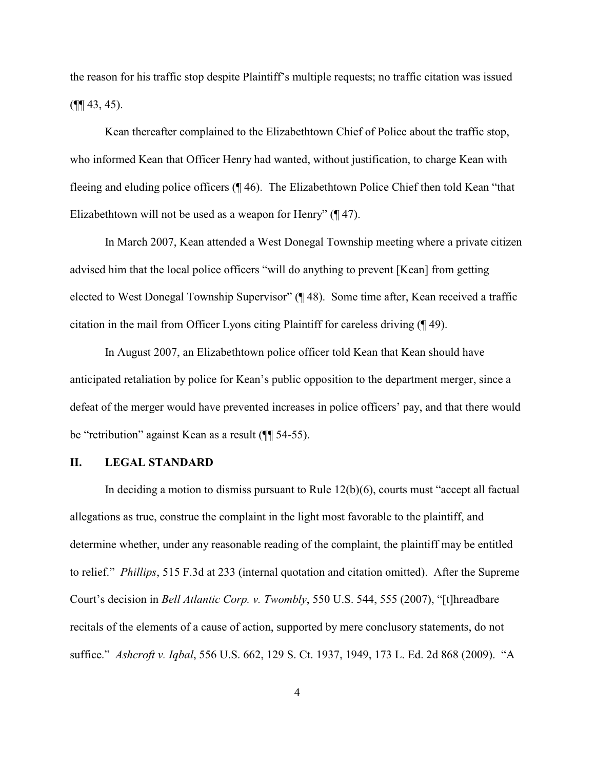the reason for his traffic stop despite Plaintiff's multiple requests; no traffic citation was issued  $(\P\P \, 43, 45).$ 

Kean thereafter complained to the Elizabethtown Chief of Police about the traffic stop, who informed Kean that Officer Henry had wanted, without justification, to charge Kean with fleeing and eluding police officers (¶ 46). The Elizabethtown Police Chief then told Kean "that Elizabethtown will not be used as a weapon for Henry" (¶ 47).

In March 2007, Kean attended a West Donegal Township meeting where a private citizen advised him that the local police officers "will do anything to prevent [Kean] from getting elected to West Donegal Township Supervisor" (¶ 48). Some time after, Kean received a traffic citation in the mail from Officer Lyons citing Plaintiff for careless driving (¶ 49).

In August 2007, an Elizabethtown police officer told Kean that Kean should have anticipated retaliation by police for Kean's public opposition to the department merger, since a defeat of the merger would have prevented increases in police officers' pay, and that there would be "retribution" against Kean as a result (¶¶ 54-55).

### **II. LEGAL STANDARD**

In deciding a motion to dismiss pursuant to Rule  $12(b)(6)$ , courts must "accept all factual allegations as true, construe the complaint in the light most favorable to the plaintiff, and determine whether, under any reasonable reading of the complaint, the plaintiff may be entitled to relief." *Phillips*, 515 F.3d at 233 (internal quotation and citation omitted). After the Supreme Court's decision in *Bell Atlantic Corp. v. Twombly*, 550 U.S. 544, 555 (2007), "[t]hreadbare recitals of the elements of a cause of action, supported by mere conclusory statements, do not suffice." *Ashcroft v. Iqbal*, 556 U.S. 662, 129 S. Ct. 1937, 1949, 173 L. Ed. 2d 868 (2009). "A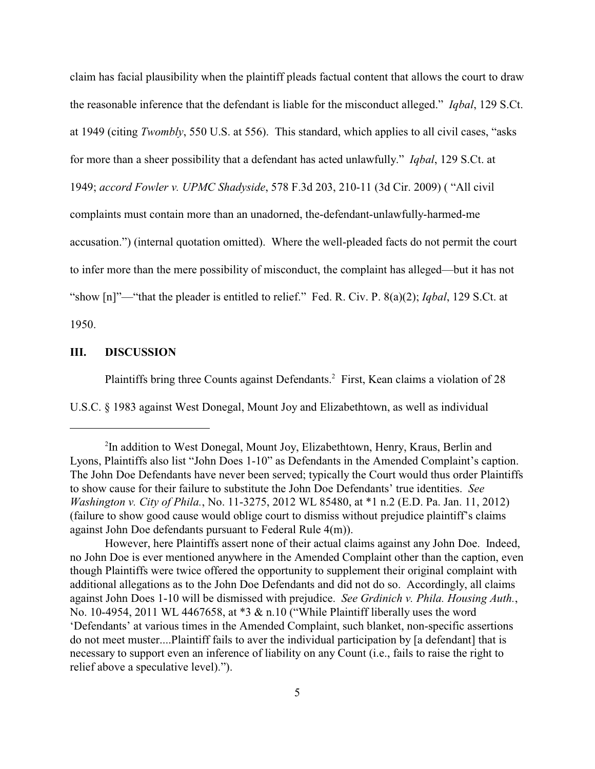claim has facial plausibility when the plaintiff pleads factual content that allows the court to draw the reasonable inference that the defendant is liable for the misconduct alleged." *Iqbal*, 129 S.Ct. at 1949 (citing *Twombly*, 550 U.S. at 556). This standard, which applies to all civil cases, "asks for more than a sheer possibility that a defendant has acted unlawfully." *Iqbal*, 129 S.Ct. at 1949; *accord Fowler v. UPMC Shadyside*, 578 F.3d 203, 210-11 (3d Cir. 2009) ( "All civil complaints must contain more than an unadorned, the-defendant-unlawfully-harmed-me accusation.") (internal quotation omitted). Where the well-pleaded facts do not permit the court to infer more than the mere possibility of misconduct, the complaint has alleged—but it has not "show [n]"—"that the pleader is entitled to relief." Fed. R. Civ. P. 8(a)(2); *Iqbal*, 129 S.Ct. at 1950.

## **III. DISCUSSION**

Plaintiffs bring three Counts against Defendants.<sup>2</sup> First, Kean claims a violation of 28 U.S.C. § 1983 against West Donegal, Mount Joy and Elizabethtown, as well as individual

<sup>&</sup>lt;sup>2</sup>In addition to West Donegal, Mount Joy, Elizabethtown, Henry, Kraus, Berlin and Lyons, Plaintiffs also list "John Does 1-10" as Defendants in the Amended Complaint's caption. The John Doe Defendants have never been served; typically the Court would thus order Plaintiffs to show cause for their failure to substitute the John Doe Defendants' true identities. *See Washington v. City of Phila.*, No. 11-3275, 2012 WL 85480, at \*1 n.2 (E.D. Pa. Jan. 11, 2012) (failure to show good cause would oblige court to dismiss without prejudice plaintiff's claims against John Doe defendants pursuant to Federal Rule 4(m)).

However, here Plaintiffs assert none of their actual claims against any John Doe. Indeed, no John Doe is ever mentioned anywhere in the Amended Complaint other than the caption, even though Plaintiffs were twice offered the opportunity to supplement their original complaint with additional allegations as to the John Doe Defendants and did not do so. Accordingly, all claims against John Does 1-10 will be dismissed with prejudice. *See Grdinich v. Phila. Housing Auth.*, No. 10-4954, 2011 WL 4467658, at \*3 & n.10 ("While Plaintiff liberally uses the word 'Defendants' at various times in the Amended Complaint, such blanket, non-specific assertions do not meet muster....Plaintiff fails to aver the individual participation by [a defendant] that is necessary to support even an inference of liability on any Count (i.e., fails to raise the right to relief above a speculative level).").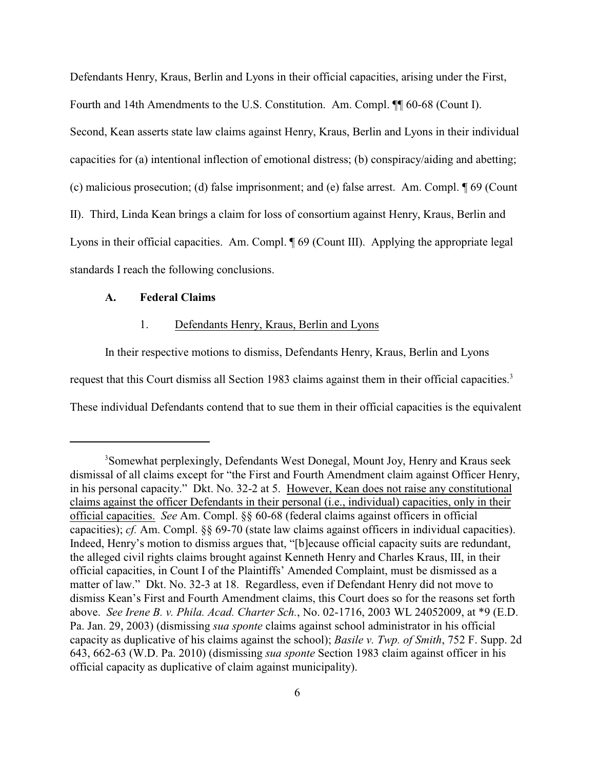Defendants Henry, Kraus, Berlin and Lyons in their official capacities, arising under the First, Fourth and 14th Amendments to the U.S. Constitution. Am. Compl. ¶¶ 60-68 (Count I). Second, Kean asserts state law claims against Henry, Kraus, Berlin and Lyons in their individual capacities for (a) intentional inflection of emotional distress; (b) conspiracy/aiding and abetting; (c) malicious prosecution; (d) false imprisonment; and (e) false arrest. Am. Compl. ¶ 69 (Count II). Third, Linda Kean brings a claim for loss of consortium against Henry, Kraus, Berlin and Lyons in their official capacities. Am. Compl. ¶ 69 (Count III). Applying the appropriate legal standards I reach the following conclusions.

#### **A. Federal Claims**

#### 1. Defendants Henry, Kraus, Berlin and Lyons

In their respective motions to dismiss, Defendants Henry, Kraus, Berlin and Lyons request that this Court dismiss all Section 1983 claims against them in their official capacities.<sup>3</sup> These individual Defendants contend that to sue them in their official capacities is the equivalent

<sup>&</sup>lt;sup>3</sup>Somewhat perplexingly, Defendants West Donegal, Mount Joy, Henry and Kraus seek dismissal of all claims except for "the First and Fourth Amendment claim against Officer Henry, in his personal capacity." Dkt. No. 32-2 at 5. However, Kean does not raise any constitutional claims against the officer Defendants in their personal (i.e., individual) capacities, only in their official capacities. *See* Am. Compl. §§ 60-68 (federal claims against officers in official capacities); *cf.* Am. Compl. §§ 69-70 (state law claims against officers in individual capacities). Indeed, Henry's motion to dismiss argues that, "[b]ecause official capacity suits are redundant, the alleged civil rights claims brought against Kenneth Henry and Charles Kraus, III, in their official capacities, in Count I of the Plaintiffs' Amended Complaint, must be dismissed as a matter of law." Dkt. No. 32-3 at 18. Regardless, even if Defendant Henry did not move to dismiss Kean's First and Fourth Amendment claims, this Court does so for the reasons set forth above. *See Irene B. v. Phila. Acad. Charter Sch.*, No. 02-1716, 2003 WL 24052009, at \*9 (E.D. Pa. Jan. 29, 2003) (dismissing *sua sponte* claims against school administrator in his official capacity as duplicative of his claims against the school); *Basile v. Twp. of Smith*, 752 F. Supp. 2d 643, 662-63 (W.D. Pa. 2010) (dismissing *sua sponte* Section 1983 claim against officer in his official capacity as duplicative of claim against municipality).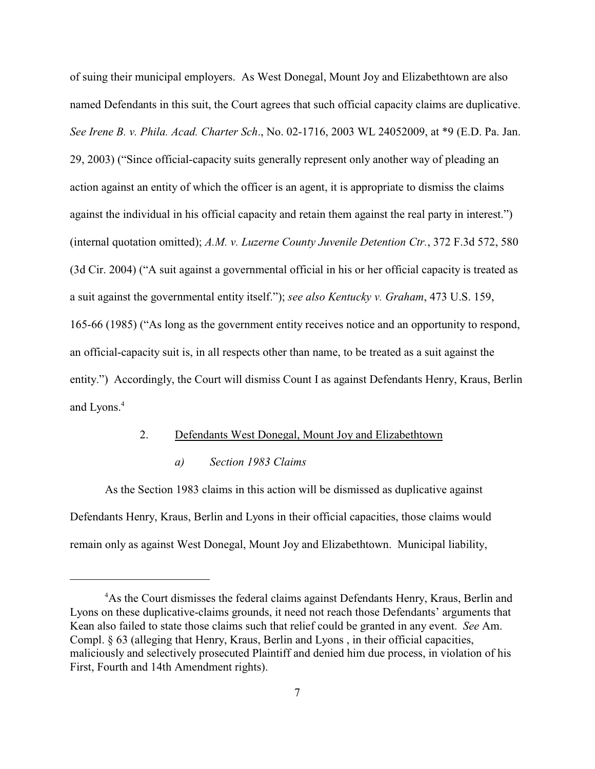of suing their municipal employers. As West Donegal, Mount Joy and Elizabethtown are also named Defendants in this suit, the Court agrees that such official capacity claims are duplicative. *See Irene B. v. Phila. Acad. Charter Sch*., No. 02-1716, 2003 WL 24052009, at \*9 (E.D. Pa. Jan. 29, 2003) ("Since official-capacity suits generally represent only another way of pleading an action against an entity of which the officer is an agent, it is appropriate to dismiss the claims against the individual in his official capacity and retain them against the real party in interest.") (internal quotation omitted); *A.M. v. Luzerne County Juvenile Detention Ctr.*, 372 F.3d 572, 580 (3d Cir. 2004) ("A suit against a governmental official in his or her official capacity is treated as a suit against the governmental entity itself."); *see also Kentucky v. Graham*, 473 U.S. 159, 165-66 (1985) ("As long as the government entity receives notice and an opportunity to respond, an official-capacity suit is, in all respects other than name, to be treated as a suit against the entity.") Accordingly, the Court will dismiss Count I as against Defendants Henry, Kraus, Berlin and Lyons.<sup>4</sup>

### 2. Defendants West Donegal, Mount Joy and Elizabethtown

### *a) Section 1983 Claims*

As the Section 1983 claims in this action will be dismissed as duplicative against Defendants Henry, Kraus, Berlin and Lyons in their official capacities, those claims would remain only as against West Donegal, Mount Joy and Elizabethtown. Municipal liability,

<sup>&</sup>lt;sup>4</sup>As the Court dismisses the federal claims against Defendants Henry, Kraus, Berlin and Lyons on these duplicative-claims grounds, it need not reach those Defendants' arguments that Kean also failed to state those claims such that relief could be granted in any event. *See* Am. Compl. § 63 (alleging that Henry, Kraus, Berlin and Lyons , in their official capacities, maliciously and selectively prosecuted Plaintiff and denied him due process, in violation of his First, Fourth and 14th Amendment rights).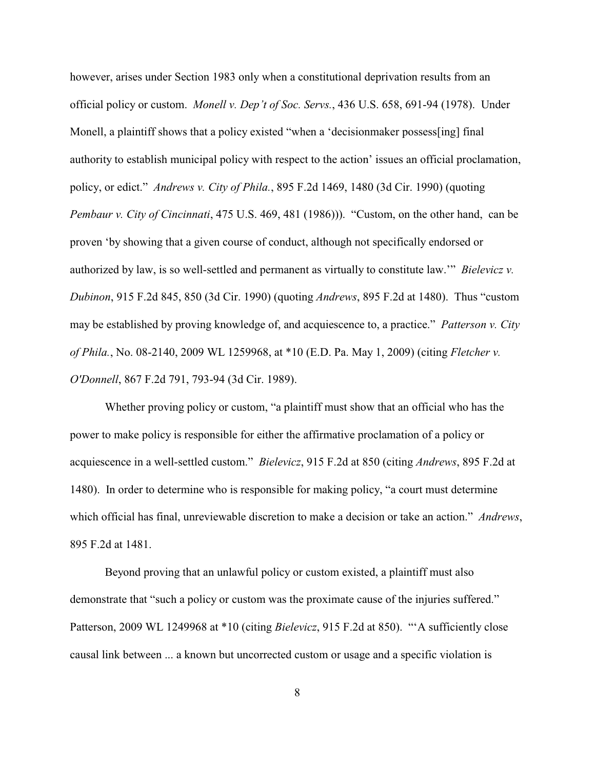however, arises under Section 1983 only when a constitutional deprivation results from an official policy or custom. *Monell v. Dep't of Soc. Servs.*, 436 U.S. 658, 691-94 (1978). Under Monell, a plaintiff shows that a policy existed "when a 'decisionmaker possess[ing] final authority to establish municipal policy with respect to the action' issues an official proclamation, policy, or edict." *Andrews v. City of Phila.*, 895 F.2d 1469, 1480 (3d Cir. 1990) (quoting *Pembaur v. City of Cincinnati*, 475 U.S. 469, 481 (1986))). "Custom, on the other hand, can be proven 'by showing that a given course of conduct, although not specifically endorsed or authorized by law, is so well-settled and permanent as virtually to constitute law.'" *Bielevicz v. Dubinon*, 915 F.2d 845, 850 (3d Cir. 1990) (quoting *Andrews*, 895 F.2d at 1480). Thus "custom may be established by proving knowledge of, and acquiescence to, a practice." *Patterson v. City of Phila.*, No. 08-2140, 2009 WL 1259968, at \*10 (E.D. Pa. May 1, 2009) (citing *Fletcher v. O'Donnell*, 867 F.2d 791, 793-94 (3d Cir. 1989).

Whether proving policy or custom, "a plaintiff must show that an official who has the power to make policy is responsible for either the affirmative proclamation of a policy or acquiescence in a well-settled custom." *Bielevicz*, 915 F.2d at 850 (citing *Andrews*, 895 F.2d at 1480). In order to determine who is responsible for making policy, "a court must determine which official has final, unreviewable discretion to make a decision or take an action." *Andrews*, 895 F.2d at 1481.

Beyond proving that an unlawful policy or custom existed, a plaintiff must also demonstrate that "such a policy or custom was the proximate cause of the injuries suffered." Patterson, 2009 WL 1249968 at \*10 (citing *Bielevicz*, 915 F.2d at 850). "'A sufficiently close causal link between ... a known but uncorrected custom or usage and a specific violation is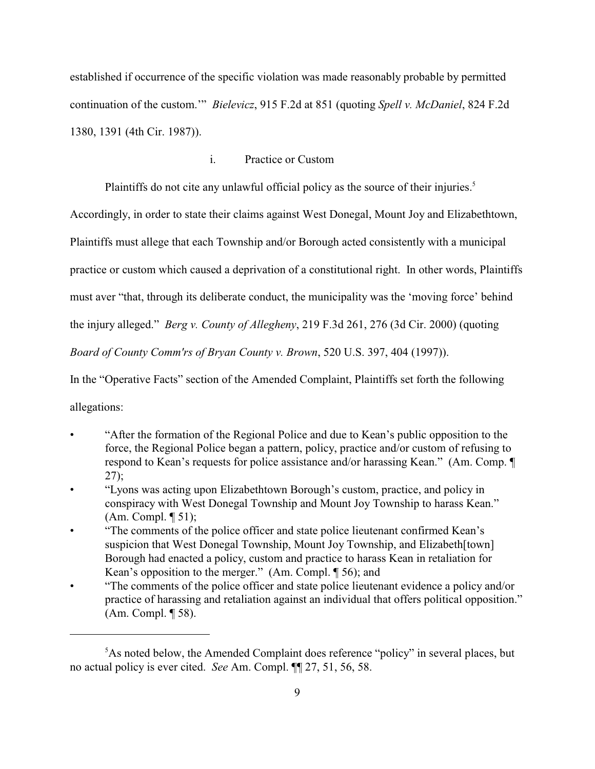established if occurrence of the specific violation was made reasonably probable by permitted continuation of the custom.'" *Bielevicz*, 915 F.2d at 851 (quoting *Spell v. McDaniel*, 824 F.2d 1380, 1391 (4th Cir. 1987)).

# i. Practice or Custom

Plaintiffs do not cite any unlawful official policy as the source of their injuries.<sup>5</sup>

Accordingly, in order to state their claims against West Donegal, Mount Joy and Elizabethtown,

Plaintiffs must allege that each Township and/or Borough acted consistently with a municipal

practice or custom which caused a deprivation of a constitutional right. In other words, Plaintiffs

must aver "that, through its deliberate conduct, the municipality was the 'moving force' behind

the injury alleged." *Berg v. County of Allegheny*, 219 F.3d 261, 276 (3d Cir. 2000) (quoting

*Board of County Comm'rs of Bryan County v. Brown*, 520 U.S. 397, 404 (1997)).

In the "Operative Facts" section of the Amended Complaint, Plaintiffs set forth the following allegations:

- "After the formation of the Regional Police and due to Kean's public opposition to the force, the Regional Police began a pattern, policy, practice and/or custom of refusing to respond to Kean's requests for police assistance and/or harassing Kean." (Am. Comp. ¶ 27);
- "Lyons was acting upon Elizabethtown Borough's custom, practice, and policy in conspiracy with West Donegal Township and Mount Joy Township to harass Kean." (Am. Compl. ¶ 51);
- "The comments of the police officer and state police lieutenant confirmed Kean's suspicion that West Donegal Township, Mount Joy Township, and Elizabeth[town] Borough had enacted a policy, custom and practice to harass Kean in retaliation for Kean's opposition to the merger." (Am. Compl. ¶ 56); and
- "The comments of the police officer and state police lieutenant evidence a policy and/or practice of harassing and retaliation against an individual that offers political opposition." (Am. Compl. ¶ 58).

 ${}^{5}$ As noted below, the Amended Complaint does reference "policy" in several places, but no actual policy is ever cited. *See* Am. Compl. ¶¶ 27, 51, 56, 58.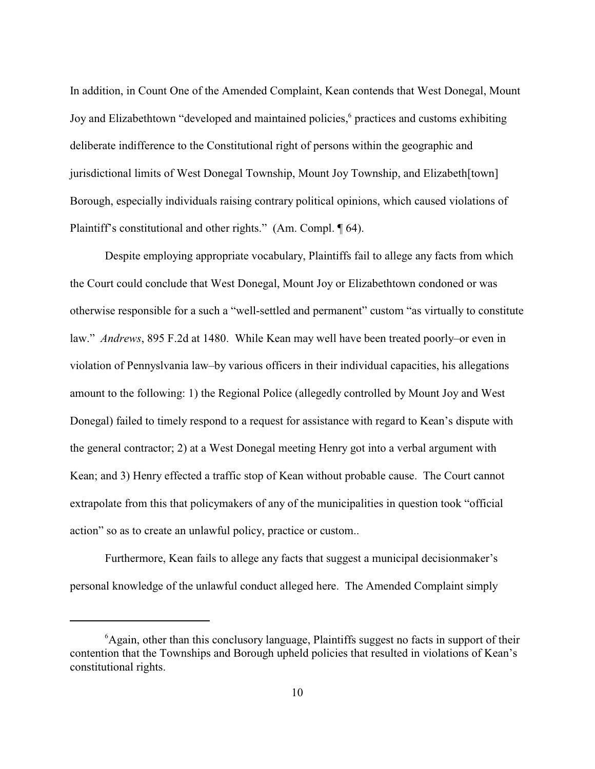In addition, in Count One of the Amended Complaint, Kean contends that West Donegal, Mount Joy and Elizabethtown "developed and maintained policies,<sup>6</sup> practices and customs exhibiting deliberate indifference to the Constitutional right of persons within the geographic and jurisdictional limits of West Donegal Township, Mount Joy Township, and Elizabeth[town] Borough, especially individuals raising contrary political opinions, which caused violations of Plaintiff's constitutional and other rights." (Am. Compl. ¶ 64).

Despite employing appropriate vocabulary, Plaintiffs fail to allege any facts from which the Court could conclude that West Donegal, Mount Joy or Elizabethtown condoned or was otherwise responsible for a such a "well-settled and permanent" custom "as virtually to constitute law." *Andrews*, 895 F.2d at 1480. While Kean may well have been treated poorly–or even in violation of Pennyslvania law–by various officers in their individual capacities, his allegations amount to the following: 1) the Regional Police (allegedly controlled by Mount Joy and West Donegal) failed to timely respond to a request for assistance with regard to Kean's dispute with the general contractor; 2) at a West Donegal meeting Henry got into a verbal argument with Kean; and 3) Henry effected a traffic stop of Kean without probable cause. The Court cannot extrapolate from this that policymakers of any of the municipalities in question took "official action" so as to create an unlawful policy, practice or custom..

Furthermore, Kean fails to allege any facts that suggest a municipal decisionmaker's personal knowledge of the unlawful conduct alleged here. The Amended Complaint simply

 ${}^{6}$ Again, other than this conclusory language, Plaintiffs suggest no facts in support of their contention that the Townships and Borough upheld policies that resulted in violations of Kean's constitutional rights.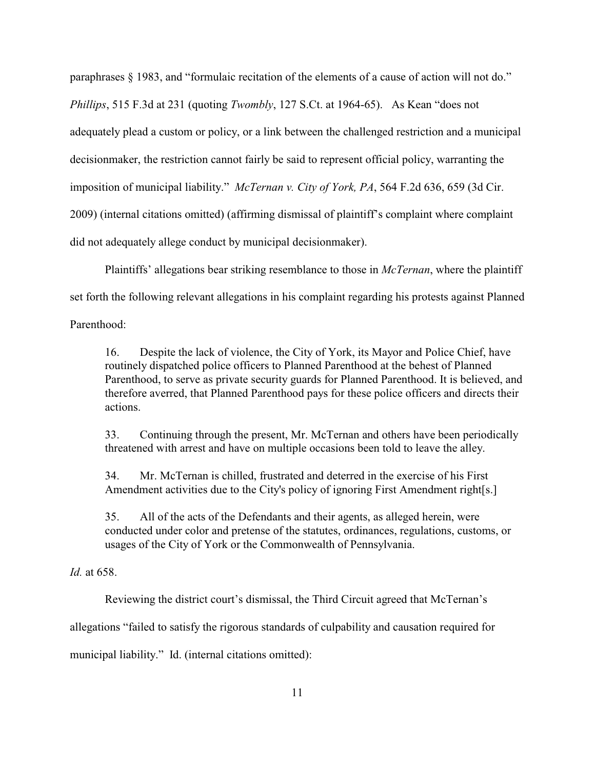paraphrases § 1983, and "formulaic recitation of the elements of a cause of action will not do." *Phillips*, 515 F.3d at 231 (quoting *Twombly*, 127 S.Ct. at 1964-65). As Kean "does not adequately plead a custom or policy, or a link between the challenged restriction and a municipal decisionmaker, the restriction cannot fairly be said to represent official policy, warranting the imposition of municipal liability." *McTernan v. City of York, PA*, 564 F.2d 636, 659 (3d Cir. 2009) (internal citations omitted) (affirming dismissal of plaintiff's complaint where complaint did not adequately allege conduct by municipal decisionmaker).

Plaintiffs' allegations bear striking resemblance to those in *McTernan*, where the plaintiff set forth the following relevant allegations in his complaint regarding his protests against Planned

Parenthood:

16. Despite the lack of violence, the City of York, its Mayor and Police Chief, have routinely dispatched police officers to Planned Parenthood at the behest of Planned Parenthood, to serve as private security guards for Planned Parenthood. It is believed, and therefore averred, that Planned Parenthood pays for these police officers and directs their actions.

33. Continuing through the present, Mr. McTernan and others have been periodically threatened with arrest and have on multiple occasions been told to leave the alley.

34. Mr. McTernan is chilled, frustrated and deterred in the exercise of his First Amendment activities due to the City's policy of ignoring First Amendment right[s.]

35. All of the acts of the Defendants and their agents, as alleged herein, were conducted under color and pretense of the statutes, ordinances, regulations, customs, or usages of the City of York or the Commonwealth of Pennsylvania.

*Id.* at 658.

Reviewing the district court's dismissal, the Third Circuit agreed that McTernan's

allegations "failed to satisfy the rigorous standards of culpability and causation required for

municipal liability." Id. (internal citations omitted):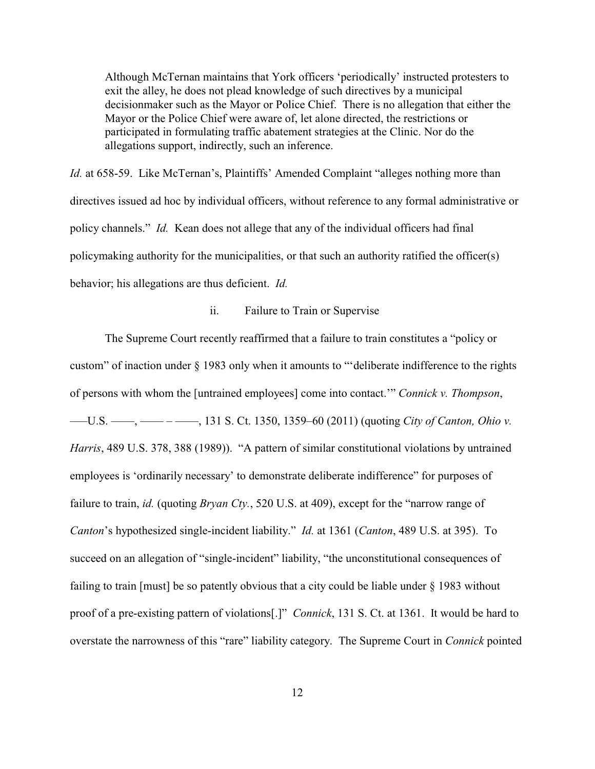Although McTernan maintains that York officers 'periodically' instructed protesters to exit the alley, he does not plead knowledge of such directives by a municipal decisionmaker such as the Mayor or Police Chief. There is no allegation that either the Mayor or the Police Chief were aware of, let alone directed, the restrictions or participated in formulating traffic abatement strategies at the Clinic. Nor do the allegations support, indirectly, such an inference.

*Id.* at 658-59. Like McTernan's, Plaintiffs' Amended Complaint "alleges nothing more than directives issued ad hoc by individual officers, without reference to any formal administrative or policy channels." *Id.* Kean does not allege that any of the individual officers had final policymaking authority for the municipalities, or that such an authority ratified the officer(s) behavior; his allegations are thus deficient. *Id.*

#### ii. Failure to Train or Supervise

The Supreme Court recently reaffirmed that a failure to train constitutes a "policy or custom" of inaction under § 1983 only when it amounts to "'deliberate indifference to the rights of persons with whom the [untrained employees] come into contact.'" *Connick v. Thompson*, ——U.S. ——, —————, 131 S. Ct. 1350, 1359–60 (2011) (quoting *City of Canton, Ohio v. Harris*, 489 U.S. 378, 388 (1989)). "A pattern of similar constitutional violations by untrained employees is 'ordinarily necessary' to demonstrate deliberate indifference" for purposes of failure to train, *id.* (quoting *Bryan Cty.*, 520 U.S. at 409), except for the "narrow range of *Canton*'s hypothesized single-incident liability." *Id.* at 1361 (*Canton*, 489 U.S. at 395). To succeed on an allegation of "single-incident" liability, "the unconstitutional consequences of failing to train [must] be so patently obvious that a city could be liable under § 1983 without proof of a pre-existing pattern of violations[.]" *Connick*, 131 S. Ct. at 1361. It would be hard to overstate the narrowness of this "rare" liability category. The Supreme Court in *Connick* pointed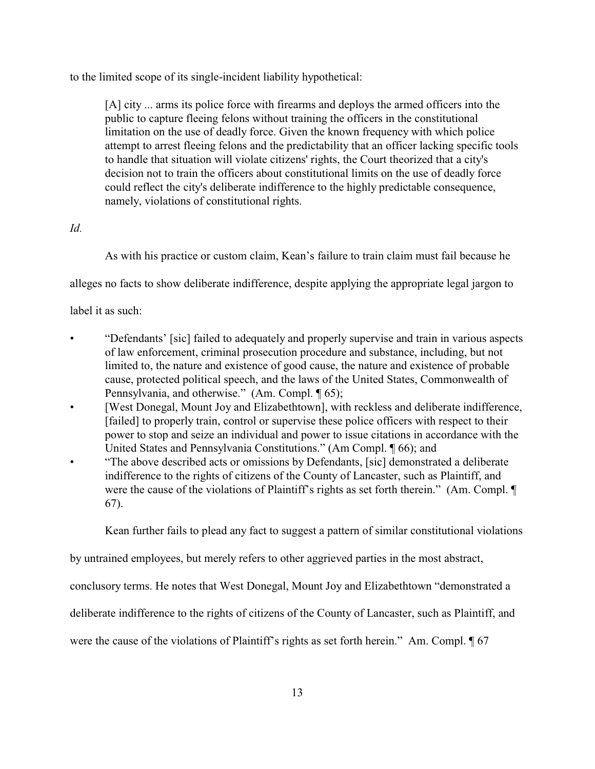to the limited scope of its single-incident liability hypothetical:

[A] city ... arms its police force with firearms and deploys the armed officers into the public to capture fleeing felons without training the officers in the constitutional limitation on the use of deadly force. Given the known frequency with which police attempt to arrest fleeing felons and the predictability that an officer lacking specific tools to handle that situation will violate citizens' rights, the Court theorized that a city's decision not to train the officers about constitutional limits on the use of deadly force could reflect the city's deliberate indifference to the highly predictable consequence, namely, violations of constitutional rights.

## *Id.*

As with his practice or custom claim, Kean's failure to train claim must fail because he

alleges no facts to show deliberate indifference, despite applying the appropriate legal jargon to

label it as such:

- "Defendants' [sic] failed to adequately and properly supervise and train in various aspects of law enforcement, criminal prosecution procedure and substance, including, but not limited to, the nature and existence of good cause, the nature and existence of probable cause, protected political speech, and the laws of the United States, Commonwealth of Pennsylvania, and otherwise." (Am. Compl. ¶ 65);
- [West Donegal, Mount Joy and Elizabethtown], with reckless and deliberate indifference, [failed] to properly train, control or supervise these police officers with respect to their power to stop and seize an individual and power to issue citations in accordance with the United States and Pennsylvania Constitutions." (Am Compl. ¶ 66); and
- "The above described acts or omissions by Defendants, [sic] demonstrated a deliberate indifference to the rights of citizens of the County of Lancaster, such as Plaintiff, and were the cause of the violations of Plaintiff's rights as set forth therein." (Am. Compl. ¶ 67).

Kean further fails to plead any fact to suggest a pattern of similar constitutional violations

by untrained employees, but merely refers to other aggrieved parties in the most abstract,

conclusory terms. He notes that West Donegal, Mount Joy and Elizabethtown "demonstrated a

deliberate indifference to the rights of citizens of the County of Lancaster, such as Plaintiff, and

were the cause of the violations of Plaintiff's rights as set forth herein." Am. Compl. ¶ 67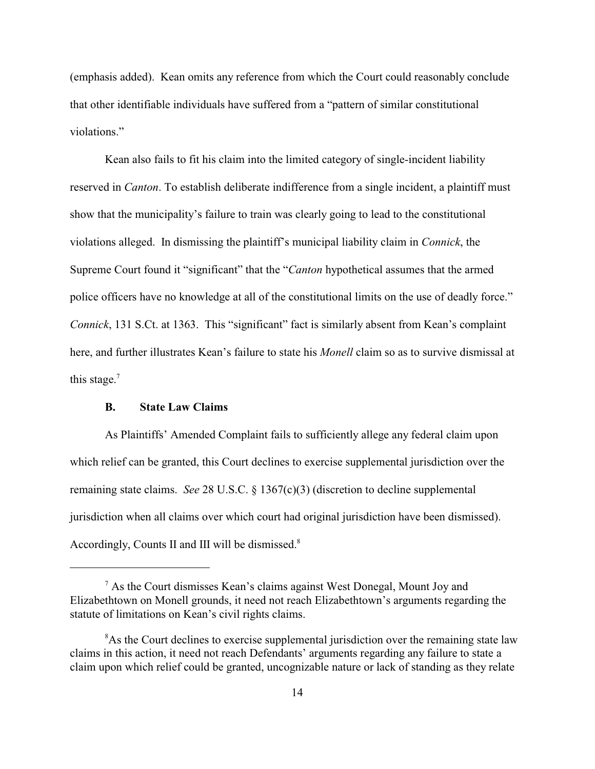(emphasis added). Kean omits any reference from which the Court could reasonably conclude that other identifiable individuals have suffered from a "pattern of similar constitutional violations."

Kean also fails to fit his claim into the limited category of single-incident liability reserved in *Canton*. To establish deliberate indifference from a single incident, a plaintiff must show that the municipality's failure to train was clearly going to lead to the constitutional violations alleged. In dismissing the plaintiff's municipal liability claim in *Connick*, the Supreme Court found it "significant" that the "*Canton* hypothetical assumes that the armed police officers have no knowledge at all of the constitutional limits on the use of deadly force." *Connick*, 131 S.Ct. at 1363. This "significant" fact is similarly absent from Kean's complaint here, and further illustrates Kean's failure to state his *Monell* claim so as to survive dismissal at this stage. $<sup>7</sup>$ </sup>

## **B. State Law Claims**

As Plaintiffs' Amended Complaint fails to sufficiently allege any federal claim upon which relief can be granted, this Court declines to exercise supplemental jurisdiction over the remaining state claims. *See* 28 U.S.C. § 1367(c)(3) (discretion to decline supplemental jurisdiction when all claims over which court had original jurisdiction have been dismissed). Accordingly, Counts II and III will be dismissed.<sup>8</sup>

<sup>&</sup>lt;sup>7</sup> As the Court dismisses Kean's claims against West Donegal, Mount Joy and Elizabethtown on Monell grounds, it need not reach Elizabethtown's arguments regarding the statute of limitations on Kean's civil rights claims.

<sup>&</sup>lt;sup>8</sup>As the Court declines to exercise supplemental jurisdiction over the remaining state law claims in this action, it need not reach Defendants' arguments regarding any failure to state a claim upon which relief could be granted, uncognizable nature or lack of standing as they relate